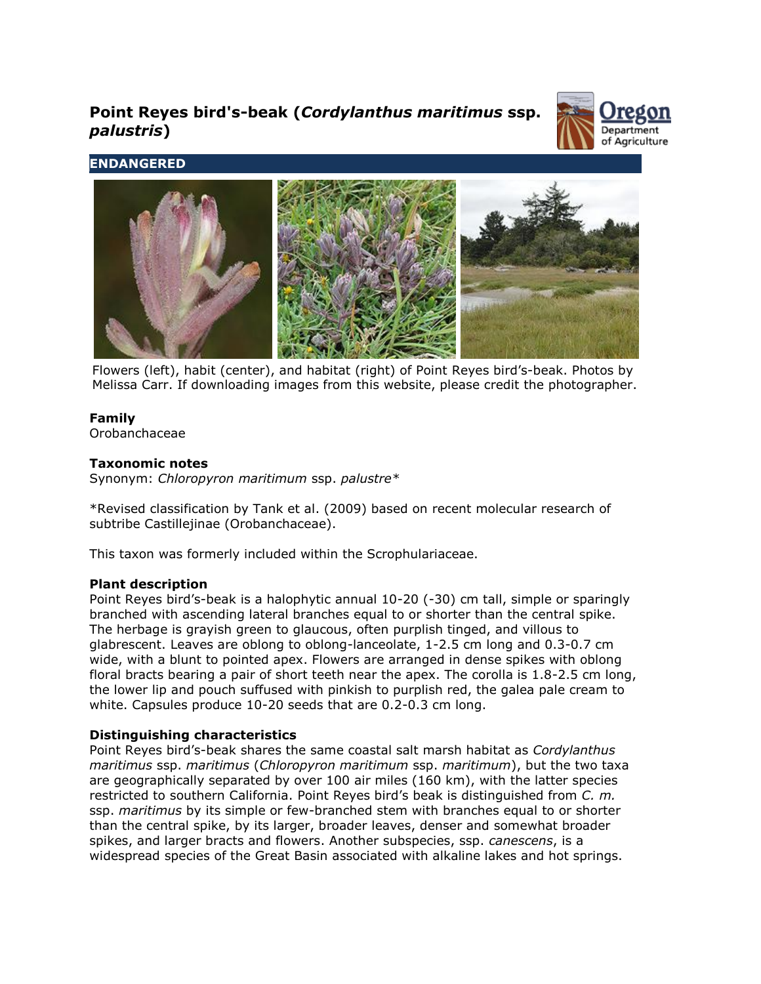# **Point Reyes bird's-beak (***Cordylanthus maritimus* **ssp.**  *palustris***)**



# **ENDANGERED**



Flowers (left), habit (center), and habitat (right) of Point Reyes bird's-beak. Photos by Melissa Carr. If downloading images from this website, please credit the photographer.

# **Family**

Orobanchaceae

# **Taxonomic notes**

Synonym: *Chloropyron maritimum* ssp. *palustre\**

\*Revised classification by Tank et al. (2009) based on recent molecular research of subtribe Castillejinae (Orobanchaceae).

This taxon was formerly included within the Scrophulariaceae.

# **Plant description**

Point Reyes bird's-beak is a halophytic annual 10-20 (-30) cm tall, simple or sparingly branched with ascending lateral branches equal to or shorter than the central spike. The herbage is grayish green to glaucous, often purplish tinged, and villous to glabrescent. Leaves are oblong to oblong-lanceolate, 1-2.5 cm long and 0.3-0.7 cm wide, with a blunt to pointed apex. Flowers are arranged in dense spikes with oblong floral bracts bearing a pair of short teeth near the apex. The corolla is 1.8-2.5 cm long, the lower lip and pouch suffused with pinkish to purplish red, the galea pale cream to white. Capsules produce 10-20 seeds that are 0.2-0.3 cm long.

# **Distinguishing characteristics**

Point Reyes bird's-beak shares the same coastal salt marsh habitat as *Cordylanthus maritimus* ssp. *maritimus* (*Chloropyron maritimum* ssp. *maritimum*), but the two taxa are geographically separated by over 100 air miles (160 km), with the latter species restricted to southern California. Point Reyes bird's beak is distinguished from *C. m.* ssp. *maritimus* by its simple or few-branched stem with branches equal to or shorter than the central spike, by its larger, broader leaves, denser and somewhat broader spikes, and larger bracts and flowers. Another subspecies, ssp. *canescens*, is a widespread species of the Great Basin associated with alkaline lakes and hot springs.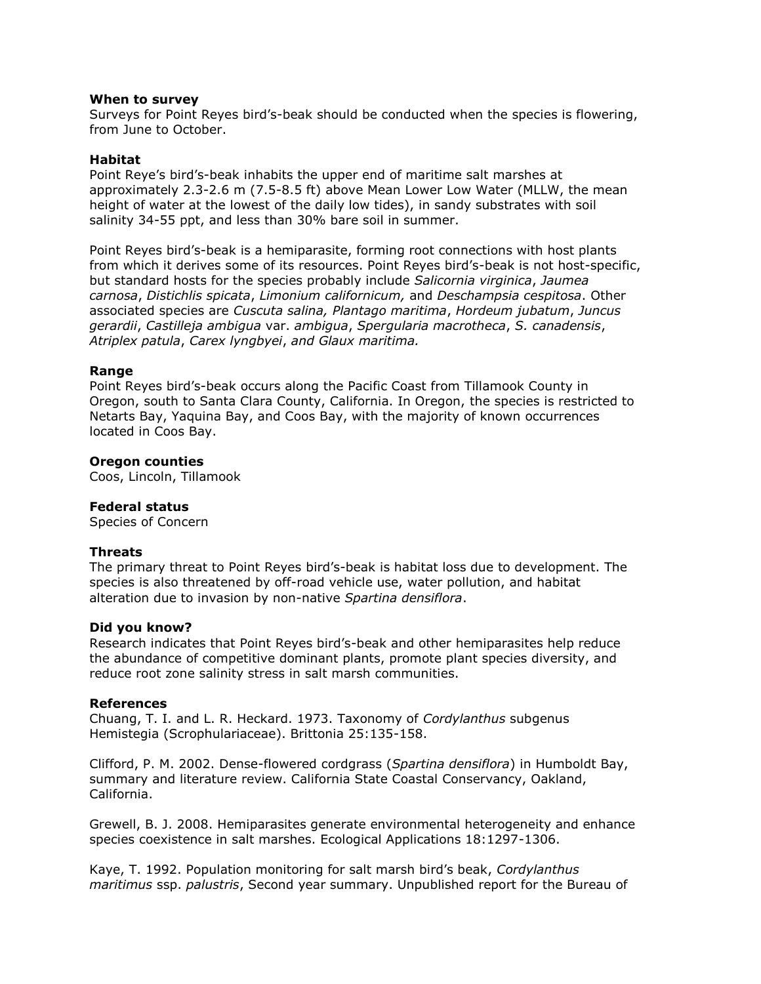#### **When to survey**

Surveys for Point Reyes bird's-beak should be conducted when the species is flowering, from June to October.

## **Habitat**

Point Reye's bird's-beak inhabits the upper end of maritime salt marshes at approximately 2.3-2.6 m (7.5-8.5 ft) above Mean Lower Low Water (MLLW, the mean height of water at the lowest of the daily low tides), in sandy substrates with soil salinity 34-55 ppt, and less than 30% bare soil in summer.

Point Reyes bird's-beak is a hemiparasite, forming root connections with host plants from which it derives some of its resources. Point Reyes bird's-beak is not host-specific, but standard hosts for the species probably include *Salicornia virginica*, *Jaumea carnosa*, *Distichlis spicata*, *Limonium californicum,* and *Deschampsia cespitosa*. Other associated species are *Cuscuta salina, Plantago maritima*, *Hordeum jubatum*, *Juncus gerardii*, *Castilleja ambigua* var. *ambigua*, *Spergularia macrotheca*, *S. canadensis*, *Atriplex patula*, *Carex lyngbyei*, *and Glaux maritima.*

#### **Range**

Point Reyes bird's-beak occurs along the Pacific Coast from Tillamook County in Oregon, south to Santa Clara County, California. In Oregon, the species is restricted to Netarts Bay, Yaquina Bay, and Coos Bay, with the majority of known occurrences located in Coos Bay.

## **Oregon counties**

Coos, Lincoln, Tillamook

#### **Federal status**

Species of Concern

#### **Threats**

The primary threat to Point Reyes bird's-beak is habitat loss due to development. The species is also threatened by off-road vehicle use, water pollution, and habitat alteration due to invasion by non-native *Spartina densiflora*.

#### **Did you know?**

Research indicates that Point Reyes bird's-beak and other hemiparasites help reduce the abundance of competitive dominant plants, promote plant species diversity, and reduce root zone salinity stress in salt marsh communities.

#### **References**

Chuang, T. I. and L. R. Heckard. 1973. Taxonomy of *Cordylanthus* subgenus Hemistegia (Scrophulariaceae). Brittonia 25:135-158.

Clifford, P. M. 2002. Dense-flowered cordgrass (*Spartina densiflora*) in Humboldt Bay, summary and literature review. California State Coastal Conservancy, Oakland, California.

Grewell, B. J. 2008. Hemiparasites generate environmental heterogeneity and enhance species coexistence in salt marshes. Ecological Applications 18:1297-1306.

Kaye, T. 1992. Population monitoring for salt marsh bird's beak, *Cordylanthus maritimus* ssp. *palustris*, Second year summary. Unpublished report for the Bureau of